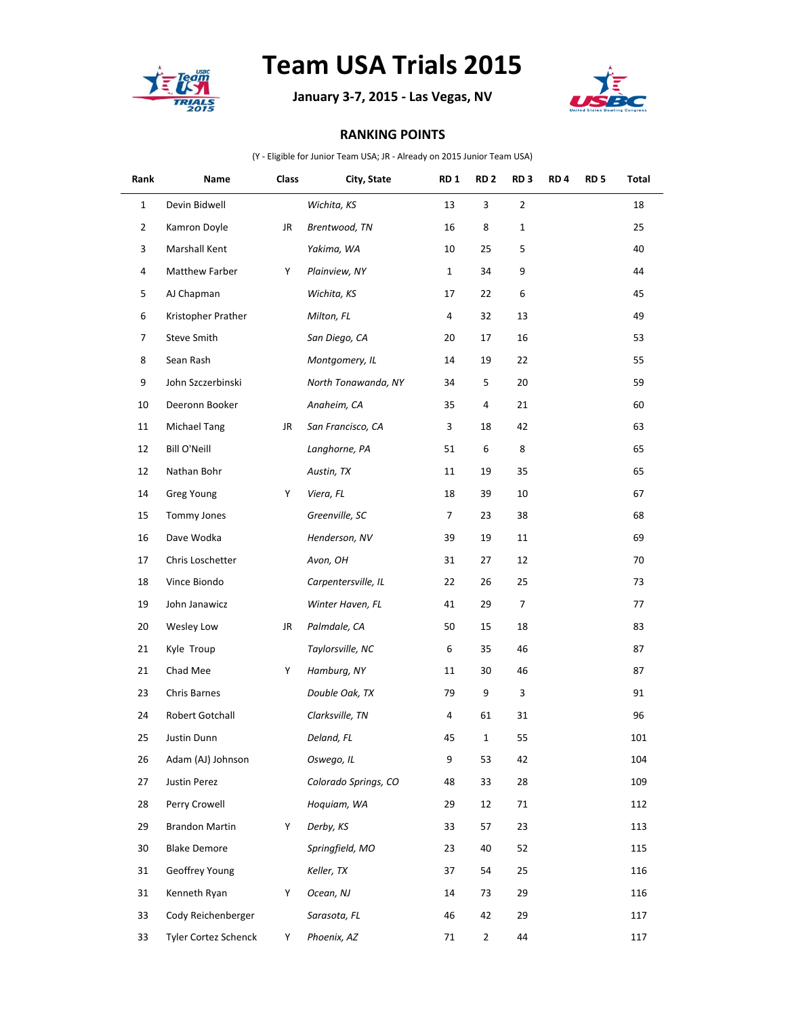

## **Team USA Trials 2015**

**January 3-7, 2015 - Las Vegas, NV**



## **RANKING POINTS**

(Y - Eligible for Junior Team USA; JR - Already on 2015 Junior Team USA)

| Rank           | Name                  | Class | City, State          | RD <sub>1</sub> | RD <sub>2</sub> | RD <sub>3</sub> | RD <sub>4</sub> | RD <sub>5</sub> | Total |
|----------------|-----------------------|-------|----------------------|-----------------|-----------------|-----------------|-----------------|-----------------|-------|
| $\mathbf{1}$   | Devin Bidwell         |       | Wichita, KS          | 13              | 3               | $\overline{2}$  |                 |                 | 18    |
| $\overline{2}$ | Kamron Doyle          | JR    | Brentwood, TN        | 16              | 8               | $\mathbf{1}$    |                 |                 | 25    |
| 3              | Marshall Kent         |       | Yakima, WA           | 10              | 25              | 5               |                 |                 | 40    |
| 4              | Matthew Farber        | Y     | Plainview, NY        | $\mathbf{1}$    | 34              | 9               |                 |                 | 44    |
| 5              | AJ Chapman            |       | Wichita, KS          | 17              | 22              | 6               |                 |                 | 45    |
| 6              | Kristopher Prather    |       | Milton, FL           | 4               | 32              | 13              |                 |                 | 49    |
| 7              | Steve Smith           |       | San Diego, CA        | 20              | 17              | 16              |                 |                 | 53    |
| 8              | Sean Rash             |       | Montgomery, IL       | 14              | 19              | 22              |                 |                 | 55    |
| 9              | John Szczerbinski     |       | North Tonawanda, NY  | 34              | 5               | 20              |                 |                 | 59    |
| 10             | Deeronn Booker        |       | Anaheim, CA          | 35              | 4               | 21              |                 |                 | 60    |
| 11             | Michael Tang          | JR    | San Francisco, CA    | 3               | 18              | 42              |                 |                 | 63    |
| 12             | <b>Bill O'Neill</b>   |       | Langhorne, PA        | 51              | 6               | 8               |                 |                 | 65    |
| 12             | Nathan Bohr           |       | Austin, TX           | 11              | 19              | 35              |                 |                 | 65    |
| 14             | <b>Greg Young</b>     | Y     | Viera, FL            | 18              | 39              | 10              |                 |                 | 67    |
| 15             | Tommy Jones           |       | Greenville, SC       | 7               | 23              | 38              |                 |                 | 68    |
| 16             | Dave Wodka            |       | Henderson, NV        | 39              | 19              | 11              |                 |                 | 69    |
| 17             | Chris Loschetter      |       | Avon, OH             | 31              | 27              | 12              |                 |                 | 70    |
| 18             | Vince Biondo          |       | Carpentersville, IL  | 22              | 26              | 25              |                 |                 | 73    |
| 19             | John Janawicz         |       | Winter Haven, FL     | 41              | 29              | $\overline{7}$  |                 |                 | 77    |
| 20             | Wesley Low            | JR    | Palmdale, CA         | 50              | 15              | 18              |                 |                 | 83    |
| 21             | Kyle Troup            |       | Taylorsville, NC     | 6               | 35              | 46              |                 |                 | 87    |
| 21             | Chad Mee              | Y     | Hamburg, NY          | 11              | 30              | 46              |                 |                 | 87    |
| 23             | Chris Barnes          |       | Double Oak, TX       | 79              | 9               | 3               |                 |                 | 91    |
| 24             | Robert Gotchall       |       | Clarksville, TN      | 4               | 61              | 31              |                 |                 | 96    |
| 25             | Justin Dunn           |       | Deland, FL           | 45              | $\mathbf{1}$    | 55              |                 |                 | 101   |
| 26             | Adam (AJ) Johnson     |       | Oswego, IL           | 9               | 53              | 42              |                 |                 | 104   |
| 27             | Justin Perez          |       | Colorado Springs, CO | 48              | 33              | 28              |                 |                 | 109   |
| 28             | Perry Crowell         |       | Hoquiam, WA          | 29              | 12              | 71              |                 |                 | 112   |
| 29             | <b>Brandon Martin</b> | Y     | Derby, KS            | 33              | 57              | 23              |                 |                 | 113   |
| 30             | <b>Blake Demore</b>   |       | Springfield, MO      | 23              | 40              | 52              |                 |                 | 115   |
| 31             | Geoffrey Young        |       | Keller, TX           | 37              | 54              | 25              |                 |                 | 116   |
| 31             | Kenneth Ryan          | Y     | Ocean, NJ            | 14              | 73              | 29              |                 |                 | 116   |
| 33             | Cody Reichenberger    |       | Sarasota, FL         | 46              | 42              | 29              |                 |                 | 117   |
| 33             | Tyler Cortez Schenck  | Y.    | Phoenix, AZ          | 71              | $\overline{2}$  | 44              |                 |                 | 117   |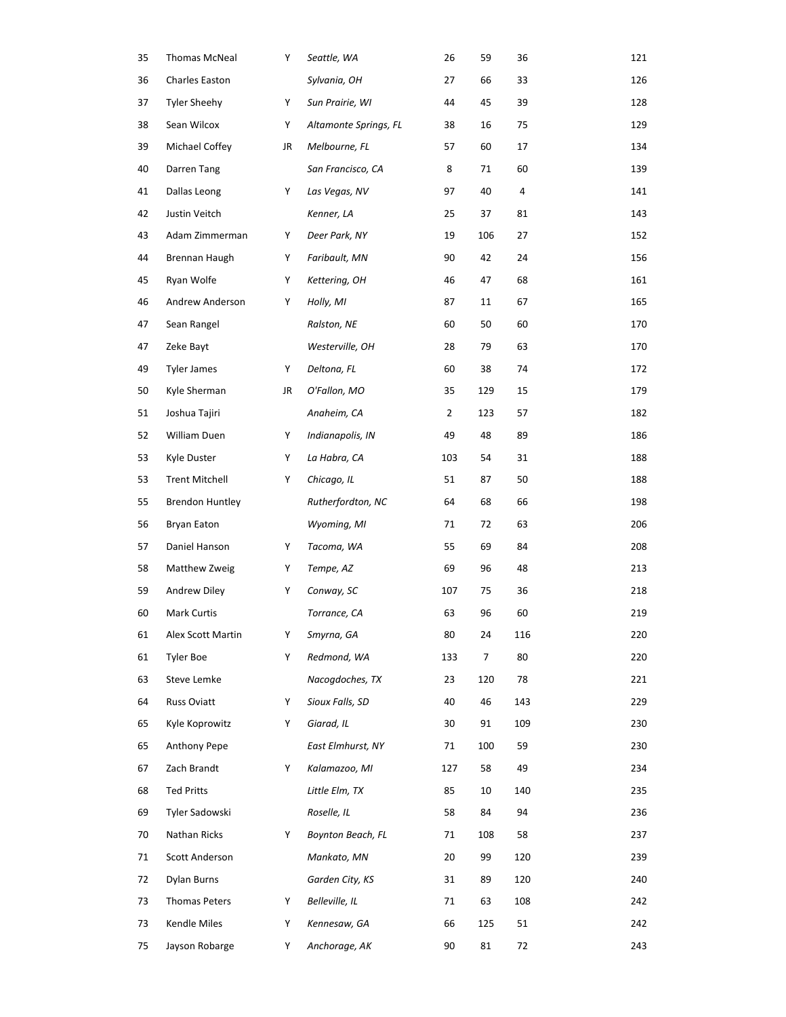| 35 | <b>Thomas McNeal</b>   | Y  | Seattle, WA           | 26             | 59  | 36  | 121 |
|----|------------------------|----|-----------------------|----------------|-----|-----|-----|
| 36 | Charles Easton         |    | Sylvania, OH          | 27             | 66  | 33  | 126 |
| 37 | <b>Tyler Sheehy</b>    | Y  | Sun Prairie, WI       | 44             | 45  | 39  | 128 |
| 38 | Sean Wilcox            | Y  | Altamonte Springs, FL | 38             | 16  | 75  | 129 |
| 39 | Michael Coffey         | JR | Melbourne, FL         | 57             | 60  | 17  | 134 |
| 40 | Darren Tang            |    | San Francisco, CA     | 8              | 71  | 60  | 139 |
| 41 | Dallas Leong           | Y  | Las Vegas, NV         | 97             | 40  | 4   | 141 |
| 42 | Justin Veitch          |    | Kenner, LA            | 25             | 37  | 81  | 143 |
| 43 | Adam Zimmerman         | Y  | Deer Park, NY         | 19             | 106 | 27  | 152 |
| 44 | Brennan Haugh          | Y  | Faribault, MN         | 90             | 42  | 24  | 156 |
| 45 | Ryan Wolfe             | Y  | Kettering, OH         | 46             | 47  | 68  | 161 |
| 46 | Andrew Anderson        | Y  | Holly, MI             | 87             | 11  | 67  | 165 |
| 47 | Sean Rangel            |    | Ralston, NE           | 60             | 50  | 60  | 170 |
| 47 | Zeke Bayt              |    | Westerville, OH       | 28             | 79  | 63  | 170 |
| 49 | <b>Tyler James</b>     | Y  | Deltona, FL           | 60             | 38  | 74  | 172 |
| 50 | Kyle Sherman           | JR | O'Fallon, MO          | 35             | 129 | 15  | 179 |
| 51 | Joshua Tajiri          |    | Anaheim, CA           | $\overline{2}$ | 123 | 57  | 182 |
| 52 | William Duen           | Y  | Indianapolis, IN      | 49             | 48  | 89  | 186 |
| 53 | Kyle Duster            | Y  | La Habra, CA          | 103            | 54  | 31  | 188 |
| 53 | <b>Trent Mitchell</b>  | Y  | Chicago, IL           | 51             | 87  | 50  | 188 |
| 55 | <b>Brendon Huntley</b> |    | Rutherfordton, NC     | 64             | 68  | 66  | 198 |
| 56 | Bryan Eaton            |    | Wyoming, MI           | 71             | 72  | 63  | 206 |
| 57 | Daniel Hanson          | Y  | Tacoma, WA            | 55             | 69  | 84  | 208 |
| 58 | Matthew Zweig          | Y  | Tempe, AZ             | 69             | 96  | 48  | 213 |
| 59 | Andrew Diley           | Y  | Conway, SC            | 107            | 75  | 36  | 218 |
| 60 | Mark Curtis            |    | Torrance, CA          | 63             | 96  | 60  | 219 |
| 61 | Alex Scott Martin      | Y  | Smyrna, GA            | 80             | 24  | 116 | 220 |
| 61 | <b>Tyler Boe</b>       | Y  | Redmond, WA           | 133            | 7   | 80  | 220 |
| 63 | Steve Lemke            |    | Nacogdoches, TX       | 23             | 120 | 78  | 221 |
| 64 | Russ Oviatt            | Y  | Sioux Falls, SD       | 40             | 46  | 143 | 229 |
| 65 | Kyle Koprowitz         | Y  | Giarad, IL            | 30             | 91  | 109 | 230 |
| 65 | Anthony Pepe           |    | East Elmhurst, NY     | 71             | 100 | 59  | 230 |
| 67 | Zach Brandt            | Y  | Kalamazoo, MI         | 127            | 58  | 49  | 234 |
| 68 | <b>Ted Pritts</b>      |    | Little Elm, TX        | 85             | 10  | 140 | 235 |
| 69 | Tyler Sadowski         |    | Roselle, IL           | 58             | 84  | 94  | 236 |
| 70 | Nathan Ricks           | Y  | Boynton Beach, FL     | 71             | 108 | 58  | 237 |
| 71 | Scott Anderson         |    | Mankato, MN           | 20             | 99  | 120 | 239 |
| 72 | Dylan Burns            |    | Garden City, KS       | 31             | 89  | 120 | 240 |
| 73 | <b>Thomas Peters</b>   | Y  | Belleville, IL        | 71             | 63  | 108 | 242 |
| 73 | Kendle Miles           | Y  | Kennesaw, GA          | 66             | 125 | 51  | 242 |
| 75 | Jayson Robarge         | Y  | Anchorage, AK         | 90             | 81  | 72  | 243 |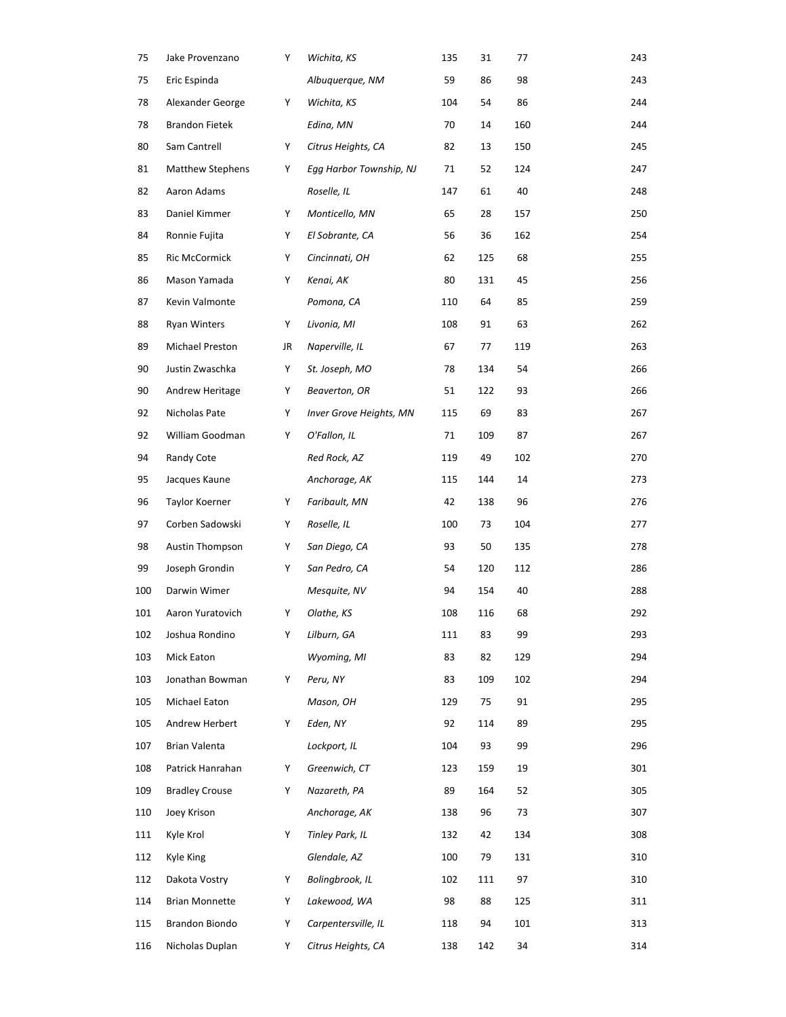| 75  | Jake Provenzano         | Y  | Wichita, KS             | 135 | 31  | 77  | 243 |
|-----|-------------------------|----|-------------------------|-----|-----|-----|-----|
| 75  | Eric Espinda            |    | Albuquerque, NM         | 59  | 86  | 98  | 243 |
| 78  | Alexander George        | Υ  | Wichita, KS             | 104 | 54  | 86  | 244 |
| 78  | <b>Brandon Fietek</b>   |    | Edina, MN               | 70  | 14  | 160 | 244 |
| 80  | Sam Cantrell            | Υ  | Citrus Heights, CA      | 82  | 13  | 150 | 245 |
| 81  | <b>Matthew Stephens</b> | Υ  | Egg Harbor Township, NJ | 71  | 52  | 124 | 247 |
| 82  | Aaron Adams             |    | Roselle, IL             | 147 | 61  | 40  | 248 |
| 83  | Daniel Kimmer           | Υ  | Monticello, MN          | 65  | 28  | 157 | 250 |
| 84  | Ronnie Fujita           | Y  | El Sobrante, CA         | 56  | 36  | 162 | 254 |
| 85  | Ric McCormick           | Y  | Cincinnati, OH          | 62  | 125 | 68  | 255 |
| 86  | Mason Yamada            | Υ  | Kenai, AK               | 80  | 131 | 45  | 256 |
| 87  | Kevin Valmonte          |    | Pomona, CA              | 110 | 64  | 85  | 259 |
| 88  | <b>Ryan Winters</b>     | Υ  | Livonia, MI             | 108 | 91  | 63  | 262 |
| 89  | Michael Preston         | JR | Naperville, IL          | 67  | 77  | 119 | 263 |
| 90  | Justin Zwaschka         | Υ  | St. Joseph, MO          | 78  | 134 | 54  | 266 |
| 90  | Andrew Heritage         | Y  | Beaverton, OR           | 51  | 122 | 93  | 266 |
| 92  | Nicholas Pate           | Υ  | Inver Grove Heights, MN | 115 | 69  | 83  | 267 |
| 92  | William Goodman         | Υ  | O'Fallon, IL            | 71  | 109 | 87  | 267 |
| 94  | Randy Cote              |    | Red Rock, AZ            | 119 | 49  | 102 | 270 |
| 95  | Jacques Kaune           |    | Anchorage, AK           | 115 | 144 | 14  | 273 |
| 96  | Taylor Koerner          | Υ  | Faribault, MN           | 42  | 138 | 96  | 276 |
| 97  | Corben Sadowski         | Υ  | Roselle, IL             | 100 | 73  | 104 | 277 |
| 98  | <b>Austin Thompson</b>  | Υ  | San Diego, CA           | 93  | 50  | 135 | 278 |
| 99  | Joseph Grondin          | Υ  | San Pedro, CA           | 54  | 120 | 112 | 286 |
| 100 | Darwin Wimer            |    | Mesquite, NV            | 94  | 154 | 40  | 288 |
| 101 | Aaron Yuratovich        | Υ  | Olathe, KS              | 108 | 116 | 68  | 292 |
| 102 | Joshua Rondino          | Y  | Lilburn, GA             | 111 | 83  | 99  | 293 |
| 103 | Mick Eaton              |    | Wyoming, MI             | 83  | 82  | 129 | 294 |
| 103 | Jonathan Bowman         | Y  | Peru, NY                | 83  | 109 | 102 | 294 |
| 105 | Michael Eaton           |    | Mason, OH               | 129 | 75  | 91  | 295 |
| 105 | Andrew Herbert          | Y  | Eden, NY                | 92  | 114 | 89  | 295 |
| 107 | Brian Valenta           |    | Lockport, IL            | 104 | 93  | 99  | 296 |
| 108 | Patrick Hanrahan        | Y  | Greenwich, CT           | 123 | 159 | 19  | 301 |
| 109 | <b>Bradley Crouse</b>   | Y  | Nazareth, PA            | 89  | 164 | 52  | 305 |
| 110 | Joey Krison             |    | Anchorage, AK           | 138 | 96  | 73  | 307 |
| 111 | Kyle Krol               | Y  | Tinley Park, IL         | 132 | 42  | 134 | 308 |
| 112 | Kyle King               |    | Glendale, AZ            | 100 | 79  | 131 | 310 |
| 112 | Dakota Vostry           | Y  | Bolingbrook, IL         | 102 | 111 | 97  | 310 |
| 114 | <b>Brian Monnette</b>   | Y  | Lakewood, WA            | 98  | 88  | 125 | 311 |
| 115 | Brandon Biondo          | Y  | Carpentersville, IL     | 118 | 94  | 101 | 313 |
| 116 | Nicholas Duplan         | Y  | Citrus Heights, CA      | 138 | 142 | 34  | 314 |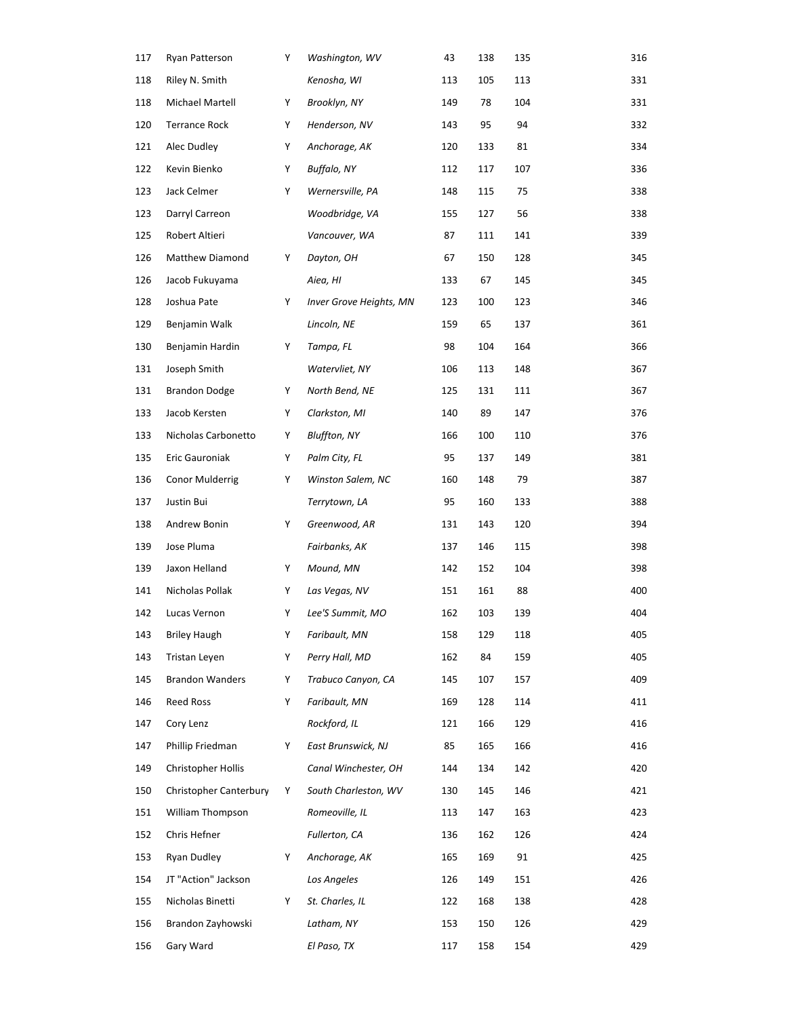| 117 | Ryan Patterson         | Y | Washington, WV          | 43  | 138 | 135 | 316 |
|-----|------------------------|---|-------------------------|-----|-----|-----|-----|
| 118 | Riley N. Smith         |   | Kenosha, WI             | 113 | 105 | 113 | 331 |
| 118 | Michael Martell        | Y | Brooklyn, NY            | 149 | 78  | 104 | 331 |
| 120 | <b>Terrance Rock</b>   | Υ | Henderson, NV           | 143 | 95  | 94  | 332 |
| 121 | Alec Dudley            | Υ | Anchorage, AK           | 120 | 133 | 81  | 334 |
| 122 | Kevin Bienko           | Y | Buffalo, NY             | 112 | 117 | 107 | 336 |
| 123 | Jack Celmer            | Y | Wernersville, PA        | 148 | 115 | 75  | 338 |
| 123 | Darryl Carreon         |   | Woodbridge, VA          | 155 | 127 | 56  | 338 |
| 125 | Robert Altieri         |   | Vancouver, WA           | 87  | 111 | 141 | 339 |
| 126 | Matthew Diamond        | Y | Dayton, OH              | 67  | 150 | 128 | 345 |
| 126 | Jacob Fukuyama         |   | Aiea, HI                | 133 | 67  | 145 | 345 |
| 128 | Joshua Pate            | Υ | Inver Grove Heights, MN | 123 | 100 | 123 | 346 |
| 129 | Benjamin Walk          |   | Lincoln, NE             | 159 | 65  | 137 | 361 |
| 130 | Benjamin Hardin        | Y | Tampa, FL               | 98  | 104 | 164 | 366 |
| 131 | Joseph Smith           |   | Watervliet, NY          | 106 | 113 | 148 | 367 |
| 131 | <b>Brandon Dodge</b>   | Y | North Bend, NE          | 125 | 131 | 111 | 367 |
| 133 | Jacob Kersten          | Y | Clarkston, MI           | 140 | 89  | 147 | 376 |
| 133 | Nicholas Carbonetto    | Y | <b>Bluffton, NY</b>     | 166 | 100 | 110 | 376 |
| 135 | Eric Gauroniak         | Y | Palm City, FL           | 95  | 137 | 149 | 381 |
| 136 | Conor Mulderrig        | Y | Winston Salem, NC       | 160 | 148 | 79  | 387 |
| 137 | Justin Bui             |   | Terrytown, LA           | 95  | 160 | 133 | 388 |
| 138 | Andrew Bonin           | Y | Greenwood, AR           | 131 | 143 | 120 | 394 |
| 139 | Jose Pluma             |   | Fairbanks, AK           | 137 | 146 | 115 | 398 |
| 139 | Jaxon Helland          | Y | Mound, MN               | 142 | 152 | 104 | 398 |
| 141 | Nicholas Pollak        | Y | Las Vegas, NV           | 151 | 161 | 88  | 400 |
| 142 | Lucas Vernon           | Y | Lee'S Summit, MO        | 162 | 103 | 139 | 404 |
| 143 | <b>Briley Haugh</b>    | Y | Faribault, MN           | 158 | 129 | 118 | 405 |
| 143 | Tristan Leyen          | Y | Perry Hall, MD          | 162 | 84  | 159 | 405 |
| 145 | <b>Brandon Wanders</b> | Υ | Trabuco Canyon, CA      | 145 | 107 | 157 | 409 |
| 146 | Reed Ross              | Υ | Faribault, MN           | 169 | 128 | 114 | 411 |
| 147 | Cory Lenz              |   | Rockford, IL            | 121 | 166 | 129 | 416 |
| 147 | Phillip Friedman       | Y | East Brunswick, NJ      | 85  | 165 | 166 | 416 |
| 149 | Christopher Hollis     |   | Canal Winchester, OH    | 144 | 134 | 142 | 420 |
| 150 | Christopher Canterbury | Y | South Charleston, WV    | 130 | 145 | 146 | 421 |
| 151 | William Thompson       |   | Romeoville, IL          | 113 | 147 | 163 | 423 |
| 152 | Chris Hefner           |   | Fullerton, CA           | 136 | 162 | 126 | 424 |
| 153 | Ryan Dudley            | Y | Anchorage, AK           | 165 | 169 | 91  | 425 |
| 154 | JT "Action" Jackson    |   | Los Angeles             | 126 | 149 | 151 | 426 |
| 155 | Nicholas Binetti       | Y | St. Charles, IL         | 122 | 168 | 138 | 428 |
| 156 | Brandon Zayhowski      |   | Latham, NY              | 153 | 150 | 126 | 429 |
| 156 | Gary Ward              |   | El Paso, TX             | 117 | 158 | 154 | 429 |